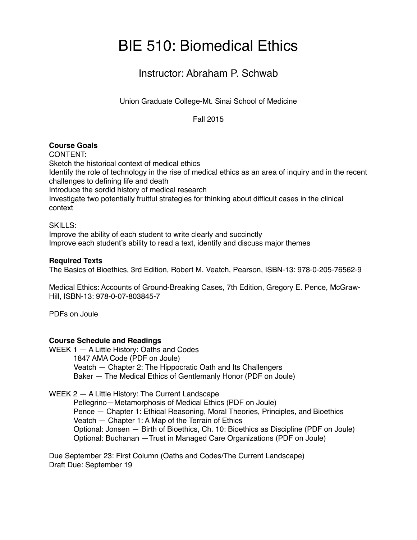# BIE 510: Biomedical Ethics

# Instructor: Abraham P. Schwab

Union Graduate College-Mt. Sinai School of Medicine

Fall 2015

## **Course Goals**

CONTENT: Sketch the historical context of medical ethics Identify the role of technology in the rise of medical ethics as an area of inquiry and in the recent challenges to defining life and death Introduce the sordid history of medical research Investigate two potentially fruitful strategies for thinking about difficult cases in the clinical context

SKILLS:

Improve the ability of each student to write clearly and succinctly Improve each student's ability to read a text, identify and discuss major themes

#### **Required Texts**

The Basics of Bioethics, 3rd Edition, Robert M. Veatch, Pearson, ISBN-13: 978-0-205-76562-9

Medical Ethics: Accounts of Ground-Breaking Cases, 7th Edition, Gregory E. Pence, McGraw-Hill, ISBN-13: 978-0-07-803845-7

PDFs on Joule

#### **Course Schedule and Readings**

WEEK 1 — A Little History: Oaths and Codes 1847 AMA Code (PDF on Joule) Veatch — Chapter 2: The Hippocratic Oath and Its Challengers Baker — The Medical Ethics of Gentlemanly Honor (PDF on Joule)

WEEK 2 — A Little History: The Current Landscape

Pellegrino—Metamorphosis of Medical Ethics (PDF on Joule) Pence — Chapter 1: Ethical Reasoning, Moral Theories, Principles, and Bioethics Veatch — Chapter 1: A Map of the Terrain of Ethics Optional: Jonsen — Birth of Bioethics, Ch. 10: Bioethics as Discipline (PDF on Joule) Optional: Buchanan —Trust in Managed Care Organizations (PDF on Joule)

Due September 23: First Column (Oaths and Codes/The Current Landscape) Draft Due: September 19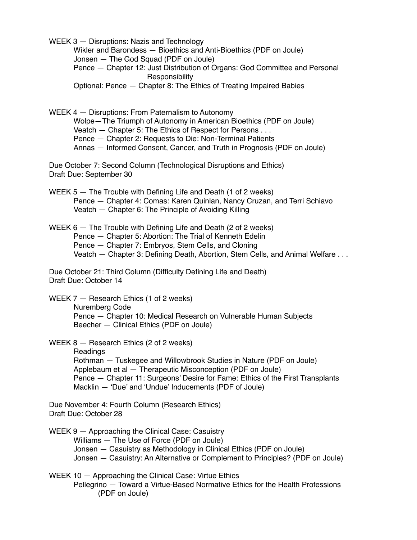WEEK 3 — Disruptions: Nazis and Technology

Wikler and Barondess — Bioethics and Anti-Bioethics (PDF on Joule) Jonsen — The God Squad (PDF on Joule)

Pence — Chapter 12: Just Distribution of Organs: God Committee and Personal Responsibility

Optional: Pence — Chapter 8: The Ethics of Treating Impaired Babies

WEEK 4 — Disruptions: From Paternalism to Autonomy

Wolpe—The Triumph of Autonomy in American Bioethics (PDF on Joule)

Veatch — Chapter 5: The Ethics of Respect for Persons . . .

Pence — Chapter 2: Requests to Die: Non-Terminal Patients

Annas — Informed Consent, Cancer, and Truth in Prognosis (PDF on Joule)

Due October 7: Second Column (Technological Disruptions and Ethics) Draft Due: September 30

WEEK 5 — The Trouble with Defining Life and Death (1 of 2 weeks) Pence — Chapter 4: Comas: Karen Quinlan, Nancy Cruzan, and Terri Schiavo Veatch — Chapter 6: The Principle of Avoiding Killing

WEEK 6 — The Trouble with Defining Life and Death (2 of 2 weeks) Pence — Chapter 5: Abortion: The Trial of Kenneth Edelin Pence — Chapter 7: Embryos, Stem Cells, and Cloning Veatch - Chapter 3: Defining Death, Abortion, Stem Cells, and Animal Welfare ...

Due October 21: Third Column (Difficulty Defining Life and Death) Draft Due: October 14

WEEK 7 - Research Ethics (1 of 2 weeks) Nuremberg Code Pence — Chapter 10: Medical Research on Vulnerable Human Subjects Beecher — Clinical Ethics (PDF on Joule)

WEEK 8 — Research Ethics (2 of 2 weeks)

Readings Rothman — Tuskegee and Willowbrook Studies in Nature (PDF on Joule) Applebaum et al — Therapeutic Misconception (PDF on Joule) Pence — Chapter 11: Surgeons' Desire for Fame: Ethics of the First Transplants Macklin — 'Due' and 'Undue' Inducements (PDF of Joule)

Due November 4: Fourth Column (Research Ethics) Draft Due: October 28

WEEK 9 — Approaching the Clinical Case: Casuistry Williams — The Use of Force (PDF on Joule) Jonsen — Casuistry as Methodology in Clinical Ethics (PDF on Joule) Jonsen — Casuistry: An Alternative or Complement to Principles? (PDF on Joule)

WEEK 10 — Approaching the Clinical Case: Virtue Ethics Pellegrino — Toward a Virtue-Based Normative Ethics for the Health Professions (PDF on Joule)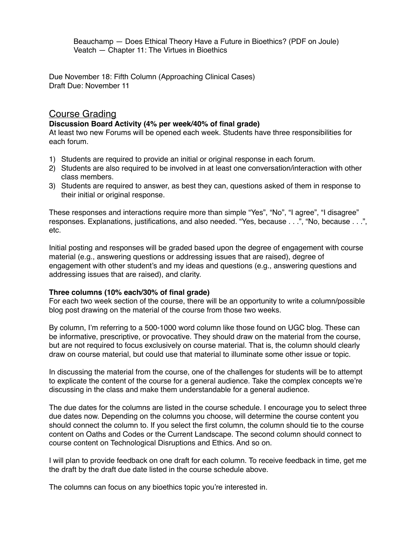Beauchamp — Does Ethical Theory Have a Future in Bioethics? (PDF on Joule) Veatch — Chapter 11: The Virtues in Bioethics

Due November 18: Fifth Column (Approaching Clinical Cases) Draft Due: November 11

### Course Grading

#### **Discussion Board Activity (4% per week/40% of final grade)**

At least two new Forums will be opened each week. Students have three responsibilities for each forum.

- 1) Students are required to provide an initial or original response in each forum.
- 2) Students are also required to be involved in at least one conversation/interaction with other class members.
- 3) Students are required to answer, as best they can, questions asked of them in response to their initial or original response.

These responses and interactions require more than simple "Yes", "No", "I agree", "I disagree" responses. Explanations, justifications, and also needed. "Yes, because . . .", "No, because . . .", etc.

Initial posting and responses will be graded based upon the degree of engagement with course material (e.g., answering questions or addressing issues that are raised), degree of engagement with other student's and my ideas and questions (e.g., answering questions and addressing issues that are raised), and clarity.

#### **Three columns (10% each/30% of final grade)**

For each two week section of the course, there will be an opportunity to write a column/possible blog post drawing on the material of the course from those two weeks.

By column, I'm referring to a 500-1000 word column like those found on UGC blog. These can be informative, prescriptive, or provocative. They should draw on the material from the course, but are not required to focus exclusively on course material. That is, the column should clearly draw on course material, but could use that material to illuminate some other issue or topic.

In discussing the material from the course, one of the challenges for students will be to attempt to explicate the content of the course for a general audience. Take the complex concepts we're discussing in the class and make them understandable for a general audience.

The due dates for the columns are listed in the course schedule. I encourage you to select three due dates now. Depending on the columns you choose, will determine the course content you should connect the column to. If you select the first column, the column should tie to the course content on Oaths and Codes or the Current Landscape. The second column should connect to course content on Technological Disruptions and Ethics. And so on.

I will plan to provide feedback on one draft for each column. To receive feedback in time, get me the draft by the draft due date listed in the course schedule above.

The columns can focus on any bioethics topic you're interested in.